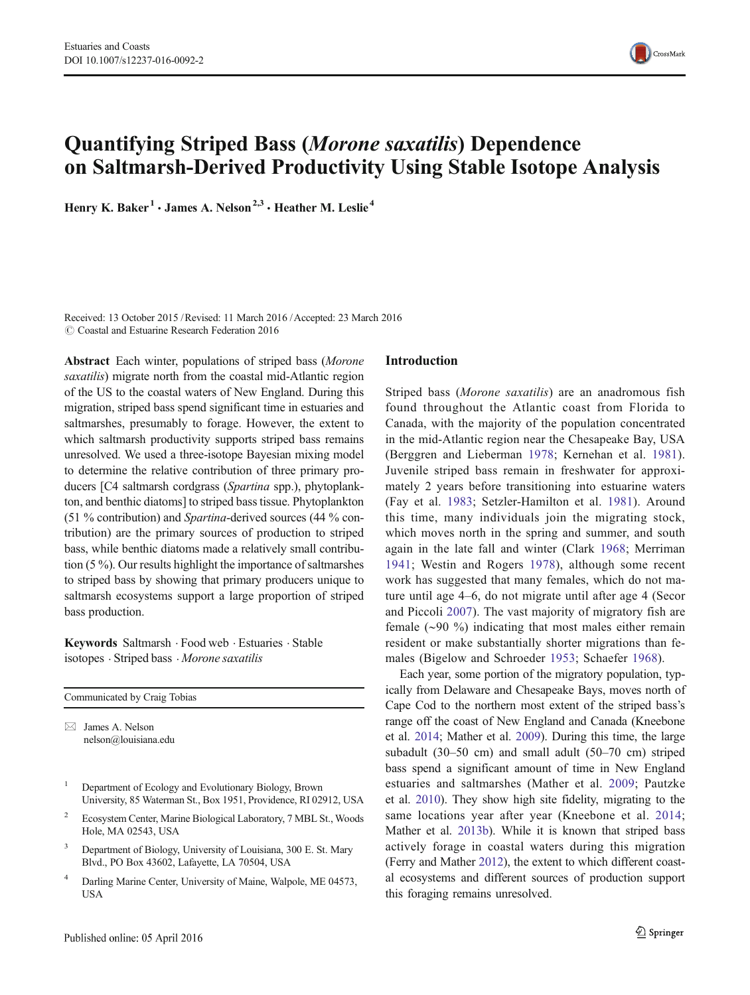

# Quantifying Striped Bass (Morone saxatilis) Dependence on Saltmarsh-Derived Productivity Using Stable Isotope Analysis

Henry K. Baker<sup>1</sup>  $\cdot$  James A. Nelson<sup>2,3</sup>  $\cdot$  Heather M. Leslie<sup>4</sup>

Received: 13 October 2015 /Revised: 11 March 2016 /Accepted: 23 March 2016  $\odot$  Coastal and Estuarine Research Federation 2016

Abstract Each winter, populations of striped bass (Morone saxatilis) migrate north from the coastal mid-Atlantic region of the US to the coastal waters of New England. During this migration, striped bass spend significant time in estuaries and saltmarshes, presumably to forage. However, the extent to which saltmarsh productivity supports striped bass remains unresolved. We used a three-isotope Bayesian mixing model to determine the relative contribution of three primary producers [C4 saltmarsh cordgrass (Spartina spp.), phytoplankton, and benthic diatoms] to striped bass tissue. Phytoplankton (51 % contribution) and Spartina-derived sources (44 % contribution) are the primary sources of production to striped bass, while benthic diatoms made a relatively small contribution (5 %). Our results highlight the importance of saltmarshes to striped bass by showing that primary producers unique to saltmarsh ecosystems support a large proportion of striped bass production.

Keywords Saltmarsh . Food web . Estuaries . Stable isotopes · Striped bass · Morone saxatilis

| Communicated by Craig Tobias |  |
|------------------------------|--|
|------------------------------|--|

 $\boxtimes$  James A. Nelson nelson@louisiana.edu

- <sup>1</sup> Department of Ecology and Evolutionary Biology, Brown University, 85 Waterman St., Box 1951, Providence, RI 02912, USA
- <sup>2</sup> Ecosystem Center, Marine Biological Laboratory, 7 MBL St., Woods Hole, MA 02543, USA
- <sup>3</sup> Department of Biology, University of Louisiana, 300 E. St. Mary Blvd., PO Box 43602, Lafayette, LA 70504, USA
- <sup>4</sup> Darling Marine Center, University of Maine, Walpole, ME 04573, USA

#### Introduction

Striped bass (Morone saxatilis) are an anadromous fish found throughout the Atlantic coast from Florida to Canada, with the majority of the population concentrated in the mid-Atlantic region near the Chesapeake Bay, USA (Berggren and Lieberman [1978](#page-4-0); Kernehan et al. [1981](#page-5-0)). Juvenile striped bass remain in freshwater for approximately 2 years before transitioning into estuarine waters (Fay et al. [1983;](#page-5-0) Setzler-Hamilton et al. [1981\)](#page-5-0). Around this time, many individuals join the migrating stock, which moves north in the spring and summer, and south again in the late fall and winter (Clark [1968](#page-5-0); Merriman [1941;](#page-5-0) Westin and Rogers [1978](#page-5-0)), although some recent work has suggested that many females, which do not mature until age 4–6, do not migrate until after age 4 (Secor and Piccoli [2007](#page-5-0)). The vast majority of migratory fish are female (∼90 %) indicating that most males either remain resident or make substantially shorter migrations than females (Bigelow and Schroeder [1953](#page-5-0); Schaefer [1968](#page-5-0)).

Each year, some portion of the migratory population, typically from Delaware and Chesapeake Bays, moves north of Cape Cod to the northern most extent of the striped bass's range off the coast of New England and Canada (Kneebone et al. [2014;](#page-5-0) Mather et al. [2009](#page-5-0)). During this time, the large subadult (30–50 cm) and small adult (50–70 cm) striped bass spend a significant amount of time in New England estuaries and saltmarshes (Mather et al. [2009](#page-5-0); Pautzke et al. [2010\)](#page-5-0). They show high site fidelity, migrating to the same locations year after year (Kneebone et al. [2014;](#page-5-0) Mather et al. [2013b](#page-5-0)). While it is known that striped bass actively forage in coastal waters during this migration (Ferry and Mather [2012\)](#page-5-0), the extent to which different coastal ecosystems and different sources of production support this foraging remains unresolved.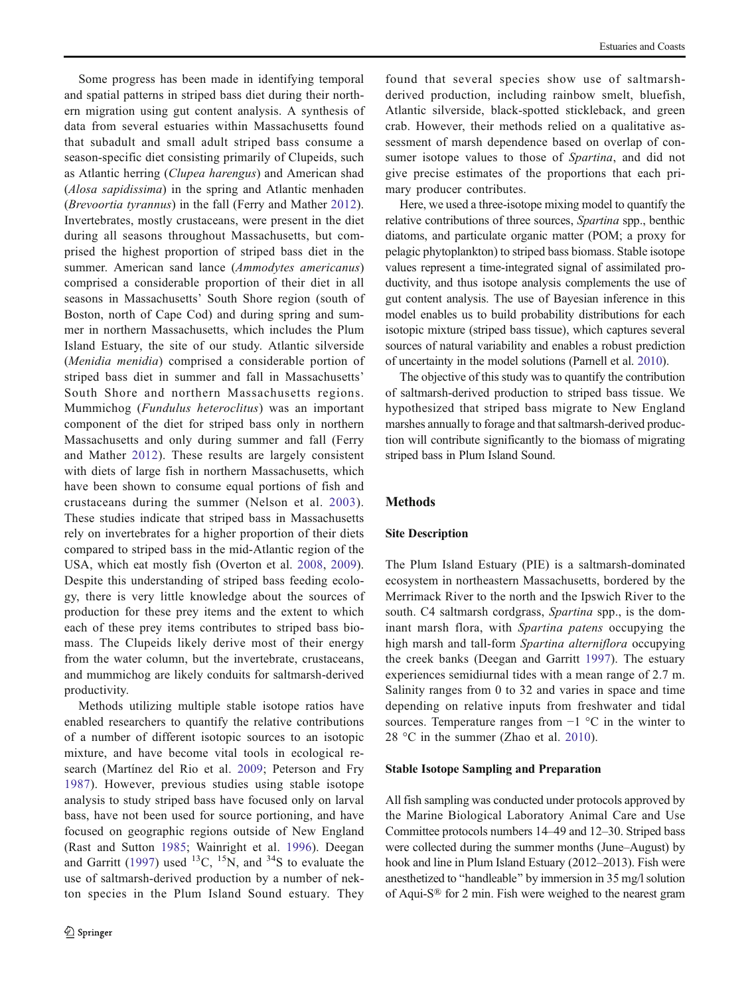Some progress has been made in identifying temporal and spatial patterns in striped bass diet during their northern migration using gut content analysis. A synthesis of data from several estuaries within Massachusetts found that subadult and small adult striped bass consume a season-specific diet consisting primarily of Clupeids, such as Atlantic herring (Clupea harengus) and American shad (Alosa sapidissima) in the spring and Atlantic menhaden (Brevoortia tyrannus) in the fall (Ferry and Mather [2012](#page-5-0)). Invertebrates, mostly crustaceans, were present in the diet during all seasons throughout Massachusetts, but comprised the highest proportion of striped bass diet in the summer. American sand lance (Ammodytes americanus) comprised a considerable proportion of their diet in all seasons in Massachusetts' South Shore region (south of Boston, north of Cape Cod) and during spring and summer in northern Massachusetts, which includes the Plum Island Estuary, the site of our study. Atlantic silverside (Menidia menidia) comprised a considerable portion of striped bass diet in summer and fall in Massachusetts' South Shore and northern Massachusetts regions. Mummichog (Fundulus heteroclitus) was an important component of the diet for striped bass only in northern Massachusetts and only during summer and fall (Ferry and Mather [2012\)](#page-5-0). These results are largely consistent with diets of large fish in northern Massachusetts, which have been shown to consume equal portions of fish and crustaceans during the summer (Nelson et al. [2003](#page-5-0)). These studies indicate that striped bass in Massachusetts rely on invertebrates for a higher proportion of their diets compared to striped bass in the mid-Atlantic region of the USA, which eat mostly fish (Overton et al. [2008,](#page-5-0) [2009](#page-5-0)). Despite this understanding of striped bass feeding ecology, there is very little knowledge about the sources of production for these prey items and the extent to which each of these prey items contributes to striped bass biomass. The Clupeids likely derive most of their energy from the water column, but the invertebrate, crustaceans, and mummichog are likely conduits for saltmarsh-derived productivity.

Methods utilizing multiple stable isotope ratios have enabled researchers to quantify the relative contributions of a number of different isotopic sources to an isotopic mixture, and have become vital tools in ecological research (Martínez del Rio et al. [2009;](#page-5-0) Peterson and Fry [1987\)](#page-5-0). However, previous studies using stable isotope analysis to study striped bass have focused only on larval bass, have not been used for source portioning, and have focused on geographic regions outside of New England (Rast and Sutton [1985](#page-5-0); Wainright et al. [1996\)](#page-5-0). Deegan and Garritt ([1997](#page-5-0)) used <sup>13</sup>C, <sup>15</sup>N, and <sup>34</sup>S to evaluate the use of saltmarsh-derived production by a number of nekton species in the Plum Island Sound estuary. They

found that several species show use of saltmarshderived production, including rainbow smelt, bluefish, Atlantic silverside, black-spotted stickleback, and green crab. However, their methods relied on a qualitative assessment of marsh dependence based on overlap of consumer isotope values to those of Spartina, and did not give precise estimates of the proportions that each primary producer contributes.

Here, we used a three-isotope mixing model to quantify the relative contributions of three sources, Spartina spp., benthic diatoms, and particulate organic matter (POM; a proxy for pelagic phytoplankton) to striped bass biomass. Stable isotope values represent a time-integrated signal of assimilated productivity, and thus isotope analysis complements the use of gut content analysis. The use of Bayesian inference in this model enables us to build probability distributions for each isotopic mixture (striped bass tissue), which captures several sources of natural variability and enables a robust prediction of uncertainty in the model solutions (Parnell et al. [2010](#page-5-0)).

The objective of this study was to quantify the contribution of saltmarsh-derived production to striped bass tissue. We hypothesized that striped bass migrate to New England marshes annually to forage and that saltmarsh-derived production will contribute significantly to the biomass of migrating striped bass in Plum Island Sound.

# Methods

#### Site Description

The Plum Island Estuary (PIE) is a saltmarsh-dominated ecosystem in northeastern Massachusetts, bordered by the Merrimack River to the north and the Ipswich River to the south. C4 saltmarsh cordgrass, Spartina spp., is the dominant marsh flora, with Spartina patens occupying the high marsh and tall-form Spartina alterniflora occupying the creek banks (Deegan and Garritt [1997](#page-5-0)). The estuary experiences semidiurnal tides with a mean range of 2.7 m. Salinity ranges from 0 to 32 and varies in space and time depending on relative inputs from freshwater and tidal sources. Temperature ranges from  $-1$  °C in the winter to 28 °C in the summer (Zhao et al. [2010](#page-5-0)).

## Stable Isotope Sampling and Preparation

All fish sampling was conducted under protocols approved by the Marine Biological Laboratory Animal Care and Use Committee protocols numbers 14–49 and 12–30. Striped bass were collected during the summer months (June–August) by hook and line in Plum Island Estuary (2012–2013). Fish were anesthetized to "handleable" by immersion in 35 mg/l solution of Aqui-S® for 2 min. Fish were weighed to the nearest gram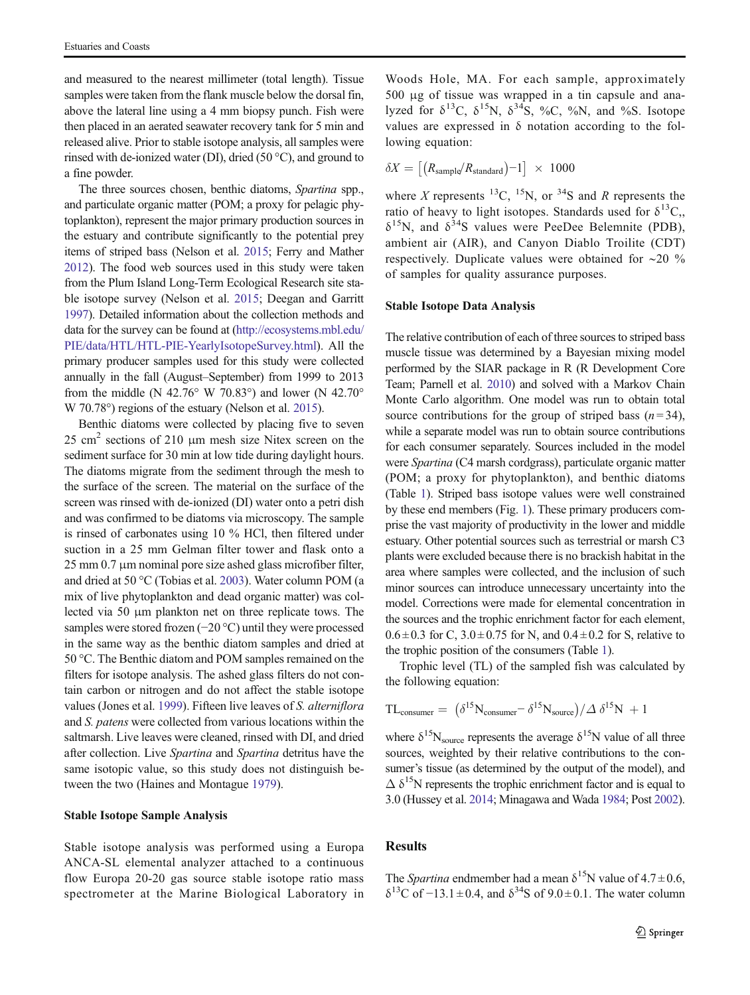and measured to the nearest millimeter (total length). Tissue samples were taken from the flank muscle below the dorsal fin, above the lateral line using a 4 mm biopsy punch. Fish were then placed in an aerated seawater recovery tank for 5 min and released alive. Prior to stable isotope analysis, all samples were rinsed with de-ionized water (DI), dried (50 °C), and ground to a fine powder.

The three sources chosen, benthic diatoms, Spartina spp., and particulate organic matter (POM; a proxy for pelagic phytoplankton), represent the major primary production sources in the estuary and contribute significantly to the potential prey items of striped bass (Nelson et al. [2015](#page-5-0); Ferry and Mather [2012](#page-5-0)). The food web sources used in this study were taken from the Plum Island Long-Term Ecological Research site stable isotope survey (Nelson et al. [2015;](#page-5-0) Deegan and Garritt [1997](#page-5-0)). Detailed information about the collection methods and data for the survey can be found at ([http://ecosystems.mbl.edu/](http://ecosystems.mbl.edu/PIE/data/HTL/HTL-PIE-YearlyIsotopeSurvey.html) [PIE/data/HTL/HTL-PIE-YearlyIsotopeSurvey.html](http://ecosystems.mbl.edu/PIE/data/HTL/HTL-PIE-YearlyIsotopeSurvey.html)). All the primary producer samples used for this study were collected annually in the fall (August–September) from 1999 to 2013 from the middle (N 42.76 $\degree$  W 70.83 $\degree$ ) and lower (N 42.70 $\degree$ W 70.78°) regions of the estuary (Nelson et al. [2015](#page-5-0)).

Benthic diatoms were collected by placing five to seven 25 cm<sup>2</sup> sections of 210  $\mu$ m mesh size Nitex screen on the sediment surface for 30 min at low tide during daylight hours. The diatoms migrate from the sediment through the mesh to the surface of the screen. The material on the surface of the screen was rinsed with de-ionized (DI) water onto a petri dish and was confirmed to be diatoms via microscopy. The sample is rinsed of carbonates using 10 % HCl, then filtered under suction in a 25 mm Gelman filter tower and flask onto a 25 mm 0.7 μm nominal pore size ashed glass microfiber filter, and dried at 50 °C (Tobias et al. [2003](#page-5-0)). Water column POM (a mix of live phytoplankton and dead organic matter) was collected via 50 μm plankton net on three replicate tows. The samples were stored frozen (−20 °C) until they were processed in the same way as the benthic diatom samples and dried at 50 °C. The Benthic diatom and POM samples remained on the filters for isotope analysis. The ashed glass filters do not contain carbon or nitrogen and do not affect the stable isotope values (Jones et al. [1999\)](#page-5-0). Fifteen live leaves of S. alterniflora and S. patens were collected from various locations within the saltmarsh. Live leaves were cleaned, rinsed with DI, and dried after collection. Live Spartina and Spartina detritus have the same isotopic value, so this study does not distinguish between the two (Haines and Montague [1979\)](#page-5-0).

## Stable Isotope Sample Analysis

Stable isotope analysis was performed using a Europa ANCA-SL elemental analyzer attached to a continuous flow Europa 20-20 gas source stable isotope ratio mass spectrometer at the Marine Biological Laboratory in

Woods Hole, MA. For each sample, approximately 500 μg of tissue was wrapped in a tin capsule and analyzed for  $\delta^{13}C$ ,  $\delta^{15}N$ ,  $\delta^{34}S$ , %C, %N, and %S. Isotope values are expressed in  $\delta$  notation according to the following equation:

$$
\delta X = \left[ \left( R_{\text{sample}} / R_{\text{standard}} \right) - 1 \right] \times 1000
$$

where X represents <sup>13</sup>C, <sup>15</sup>N, or <sup>34</sup>S and R represents the ratio of heavy to light isotopes. Standards used for  $\delta^{13}C$ ,  $\delta^{15}$ N, and  $\delta^{34}$ S values were PeeDee Belemnite (PDB), ambient air (AIR), and Canyon Diablo Troilite (CDT) respectively. Duplicate values were obtained for ∼20 % of samples for quality assurance purposes.

#### Stable Isotope Data Analysis

The relative contribution of each of three sources to striped bass muscle tissue was determined by a Bayesian mixing model performed by the SIAR package in R (R Development Core Team; Parnell et al. [2010](#page-5-0)) and solved with a Markov Chain Monte Carlo algorithm. One model was run to obtain total source contributions for the group of striped bass  $(n=34)$ , while a separate model was run to obtain source contributions for each consumer separately. Sources included in the model were Spartina (C4 marsh cordgrass), particulate organic matter (POM; a proxy for phytoplankton), and benthic diatoms (Table [1\)](#page-3-0). Striped bass isotope values were well constrained by these end members (Fig. [1](#page-3-0)). These primary producers comprise the vast majority of productivity in the lower and middle estuary. Other potential sources such as terrestrial or marsh C3 plants were excluded because there is no brackish habitat in the area where samples were collected, and the inclusion of such minor sources can introduce unnecessary uncertainty into the model. Corrections were made for elemental concentration in the sources and the trophic enrichment factor for each element,  $0.6 \pm 0.3$  for C,  $3.0 \pm 0.75$  for N, and  $0.4 \pm 0.2$  for S, relative to the trophic position of the consumers (Table [1\)](#page-3-0).

Trophic level (TL) of the sampled fish was calculated by the following equation:

$$
TL_{\text{consumer}} = (\delta^{15} N_{\text{consumer}} - \delta^{15} N_{\text{source}})/\Delta \delta^{15} N + 1
$$

where  $\delta^{15}N_{\text{source}}$  represents the average  $\delta^{15}N$  value of all three sources, weighted by their relative contributions to the consumer's tissue (as determined by the output of the model), and  $\Delta \delta^{15}$ N represents the trophic enrichment factor and is equal to 3.0 (Hussey et al. [2014;](#page-5-0) Minagawa and Wada [1984;](#page-5-0) Post [2002\)](#page-5-0).

## Results

The *Spartina* endmember had a mean  $\delta^{15}N$  value of 4.7  $\pm$  0.6,  $\delta^{13}$ C of −13.1 ±0.4, and  $\delta^{34}$ S of 9.0 ±0.1. The water column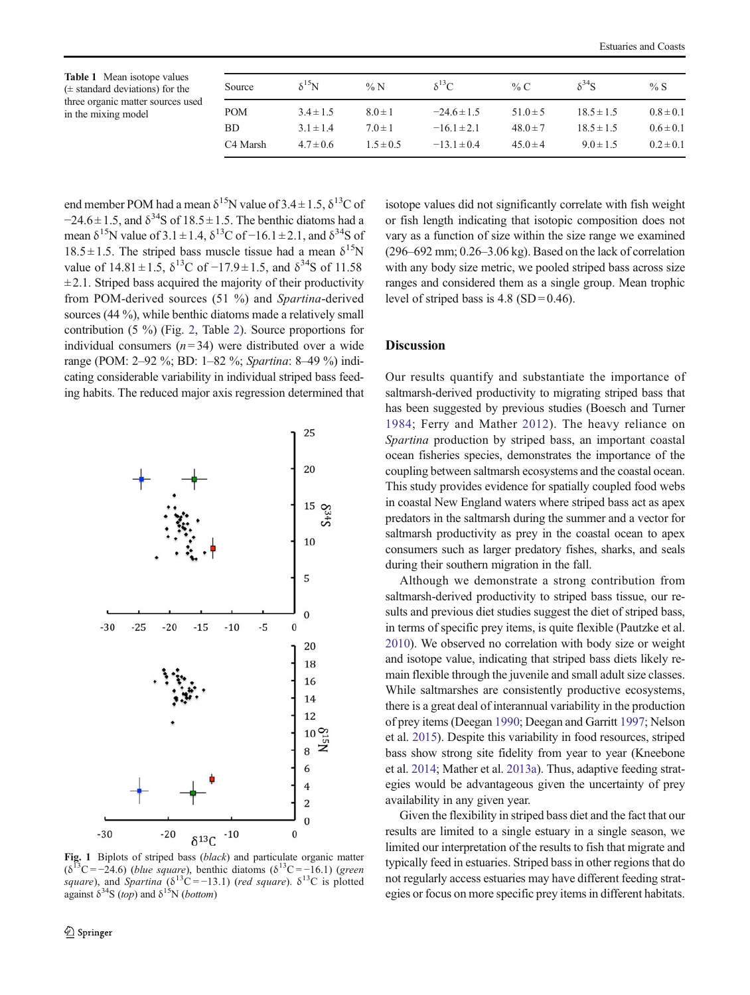<span id="page-3-0"></span>Table 1 Mean isotope values  $(\pm$  standard deviations) for the three organic matter sources used in the mixing model

| Source               | $\delta^{15}N$ | $\% N$        | $\delta^{13}$ C | % C          | $\delta^{34}S$ | $\% S$        |
|----------------------|----------------|---------------|-----------------|--------------|----------------|---------------|
| <b>POM</b>           | $3.4 \pm 1.5$  | $8.0 \pm 1$   | $-24.6 \pm 1.5$ | $51.0 \pm 5$ | $18.5 \pm 1.5$ | $0.8 \pm 0.1$ |
| BD.                  | $3.1 \pm 1.4$  | $7.0 \pm 1$   | $-16.1 \pm 2.1$ | $48.0 \pm 7$ | $18.5 \pm 1.5$ | $0.6 \pm 0.1$ |
| C <sub>4</sub> Marsh | $4.7 \pm 0.6$  | $1.5 \pm 0.5$ | $-13.1 \pm 0.4$ | $45.0 \pm 4$ | $9.0 \pm 1.5$  | $0.2 \pm 0.1$ |

end member POM had a mean  $\delta^{15}N$  value of 3.4  $\pm$  1.5,  $\delta^{13}C$  of  $-24.6 \pm 1.5$ , and  $\delta^{34}$ S of 18.5  $\pm$  1.5. The benthic diatoms had a mean  $\delta^{15}$ N value of 3.1 ± 1.4,  $\delta^{13}$ C of -16.1 ± 2.1, and  $\delta^{34}$ S of  $18.5 \pm 1.5$ . The striped bass muscle tissue had a mean  $\delta^{15}N$ value of  $14.81 \pm 1.5$ ,  $\delta^{13}C$  of  $-17.9 \pm 1.5$ , and  $\delta^{34}S$  of 11.58  $\pm$  2.1. Striped bass acquired the majority of their productivity from POM-derived sources (51 %) and Spartina-derived sources (44 %), while benthic diatoms made a relatively small contribution (5 %) (Fig. [2,](#page-4-0) Table [2](#page-4-0)). Source proportions for individual consumers  $(n=34)$  were distributed over a wide range (POM: 2–92 %; BD: 1–82 %; Spartina: 8–49 %) indicating considerable variability in individual striped bass feeding habits. The reduced major axis regression determined that



Fig. 1 Biplots of striped bass (black) and particulate organic matter  $(\delta^{13}C = -24.6)$  (blue square), benthic diatoms  $(\delta^{13}C = -16.1)$  (green square), and Spartina ( $\delta^{13}$ C = -13.1) (red square).  $\delta^{13}$ C is plotted against  $\delta^{34}$ S (top) and  $\delta^{15}$ N (bottom)

isotope values did not significantly correlate with fish weight or fish length indicating that isotopic composition does not vary as a function of size within the size range we examined (296–692 mm; 0.26–3.06 kg). Based on the lack of correlation with any body size metric, we pooled striped bass across size ranges and considered them as a single group. Mean trophic level of striped bass is  $4.8$  (SD = 0.46).

# Discussion

Our results quantify and substantiate the importance of saltmarsh-derived productivity to migrating striped bass that has been suggested by previous studies (Boesch and Turner [1984](#page-5-0); Ferry and Mather [2012](#page-5-0)). The heavy reliance on Spartina production by striped bass, an important coastal ocean fisheries species, demonstrates the importance of the coupling between saltmarsh ecosystems and the coastal ocean. This study provides evidence for spatially coupled food webs in coastal New England waters where striped bass act as apex predators in the saltmarsh during the summer and a vector for saltmarsh productivity as prey in the coastal ocean to apex consumers such as larger predatory fishes, sharks, and seals during their southern migration in the fall.

Although we demonstrate a strong contribution from saltmarsh-derived productivity to striped bass tissue, our results and previous diet studies suggest the diet of striped bass, in terms of specific prey items, is quite flexible (Pautzke et al. [2010\)](#page-5-0). We observed no correlation with body size or weight and isotope value, indicating that striped bass diets likely remain flexible through the juvenile and small adult size classes. While saltmarshes are consistently productive ecosystems, there is a great deal of interannual variability in the production of prey items (Deegan [1990;](#page-5-0) Deegan and Garritt [1997](#page-5-0); Nelson et al. [2015](#page-5-0)). Despite this variability in food resources, striped bass show strong site fidelity from year to year (Kneebone et al. [2014;](#page-5-0) Mather et al. [2013a](#page-5-0)). Thus, adaptive feeding strategies would be advantageous given the uncertainty of prey availability in any given year.

Given the flexibility in striped bass diet and the fact that our results are limited to a single estuary in a single season, we limited our interpretation of the results to fish that migrate and typically feed in estuaries. Striped bass in other regions that do not regularly access estuaries may have different feeding strategies or focus on more specific prey items in different habitats.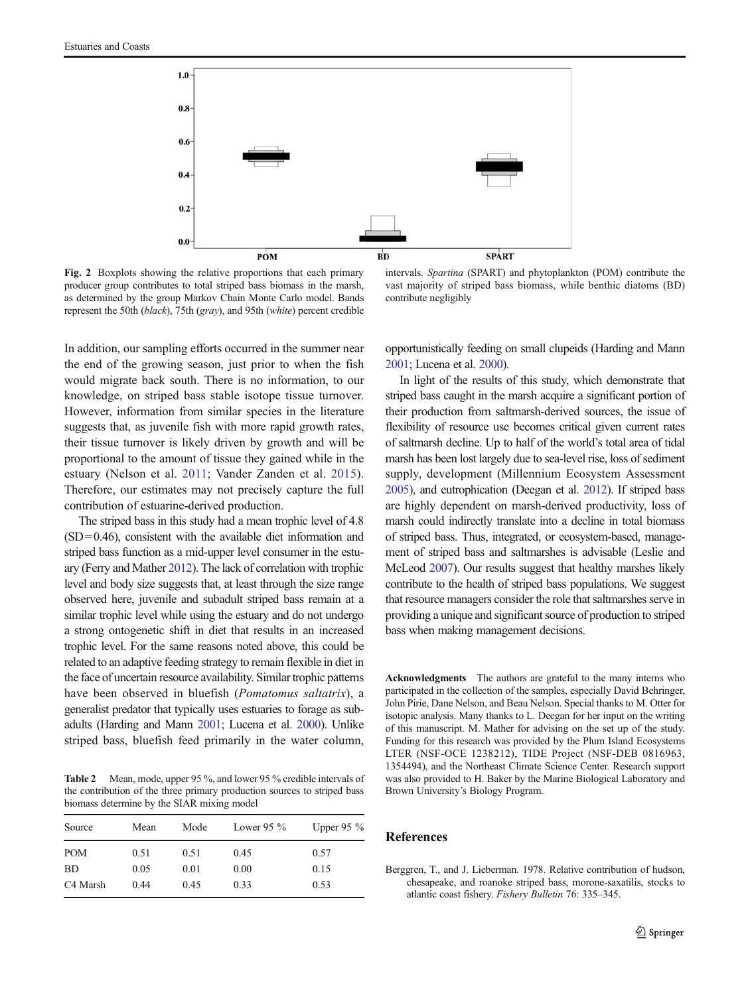<span id="page-4-0"></span>

Fig. 2 Boxplots showing the relative proportions that each primary producer group contributes to total striped bass biomass in the marsh, as determined by the group Markov Chain Monte Carlo model. Bands represent the 50th (black), 75th (gray), and 95th (white) percent credible

intervals. Spartina (SPART) and phytoplankton (POM) contribute the vast majority of striped bass biomass, while benthic diatoms (BD) contribute negligibly

In addition, our sampling efforts occurred in the summer near the end of the growing season, just prior to when the fish would migrate back south. There is no information, to our knowledge, on striped bass stable isotope tissue turnover. However, information from similar species in the literature suggests that, as juvenile fish with more rapid growth rates, their tissue turnover is likely driven by growth and will be proportional to the amount of tissue they gained while in the estuary (Nelson et al. [2011;](#page-5-0) Vander Zanden et al. [2015](#page-5-0)). Therefore, our estimates may not precisely capture the full contribution of estuarine-derived production.

The striped bass in this study had a mean trophic level of 4.8  $(SD=0.46)$ , consistent with the available diet information and striped bass function as a mid-upper level consumer in the estuary (Ferry and Mather [2012\)](#page-5-0). The lack of correlation with trophic level and body size suggests that, at least through the size range observed here, juvenile and subadult striped bass remain at a similar trophic level while using the estuary and do not undergo a strong ontogenetic shift in diet that results in an increased trophic level. For the same reasons noted above, this could be related to an adaptive feeding strategy to remain flexible in diet in the face of uncertain resource availability. Similar trophic patterns have been observed in bluefish (Pomatomus saltatrix), a generalist predator that typically uses estuaries to forage as subadults (Harding and Mann [2001;](#page-5-0) Lucena et al. [2000\)](#page-5-0). Unlike striped bass, bluefish feed primarily in the water column,

Table 2 Mean, mode, upper 95 %, and lower 95 % credible intervals of the contribution of the three primary production sources to striped bass biomass determine by the SIAR mixing model

| Source     | Mean | Mode | Lower 95 $\%$ | Upper 95 $\%$ |
|------------|------|------|---------------|---------------|
| <b>POM</b> | 0.51 | 0.51 | 0.45          | 0.57          |
| <b>BD</b>  | 0.05 | 0.01 | 0.00          | 0.15          |
| C4 Marsh   | 0.44 | 0.45 | 0.33          | 0.53          |

opportunistically feeding on small clupeids (Harding and Mann [2001;](#page-5-0) Lucena et al. [2000](#page-5-0)).

In light of the results of this study, which demonstrate that striped bass caught in the marsh acquire a significant portion of their production from saltmarsh-derived sources, the issue of flexibility of resource use becomes critical given current rates of saltmarsh decline. Up to half of the world's total area of tidal marsh has been lost largely due to sea-level rise, loss of sediment supply, development (Millennium Ecosystem Assessment [2005\)](#page-5-0), and eutrophication (Deegan et al. [2012](#page-5-0)). If striped bass are highly dependent on marsh-derived productivity, loss of marsh could indirectly translate into a decline in total biomass of striped bass. Thus, integrated, or ecosystem-based, management of striped bass and saltmarshes is advisable (Leslie and McLeod [2007\)](#page-5-0). Our results suggest that healthy marshes likely contribute to the health of striped bass populations. We suggest that resource managers consider the role that saltmarshes serve in providing a unique and significant source of production to striped bass when making management decisions.

Acknowledgments The authors are grateful to the many interns who participated in the collection of the samples, especially David Behringer, John Pirie, Dane Nelson, and Beau Nelson. Special thanks to M. Otter for isotopic analysis. Many thanks to L. Deegan for her input on the writing of this manuscript. M. Mather for advising on the set up of the study. Funding for this research was provided by the Plum Island Ecosystems LTER (NSF-OCE 1238212), TIDE Project (NSF-DEB 0816963, 1354494), and the Northeast Climate Science Center. Research support was also provided to H. Baker by the Marine Biological Laboratory and Brown University's Biology Program.

## References

Berggren, T., and J. Lieberman. 1978. Relative contribution of hudson, chesapeake, and roanoke striped bass, morone-saxatilis, stocks to atlantic coast fishery. Fishery Bulletin 76: 335–345.